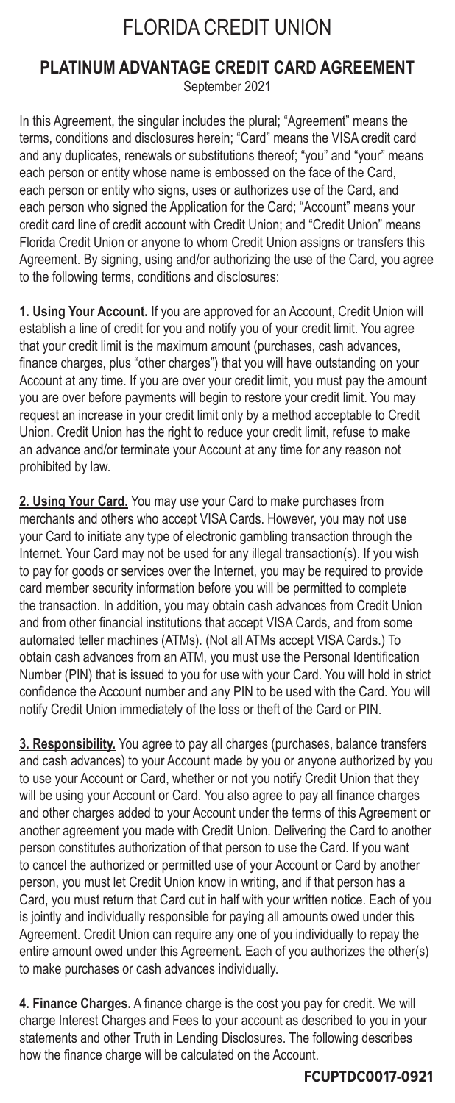# FLORIDA CREDIT UNION

## **PLATINUM ADVANTAGE CREDIT CARD AGREEMENT** September 2021

In this Agreement, the singular includes the plural; "Agreement" means the terms, conditions and disclosures herein; "Card" means the VISA credit card and any duplicates, renewals or substitutions thereof; "you" and "your" means each person or entity whose name is embossed on the face of the Card, each person or entity who signs, uses or authorizes use of the Card, and each person who signed the Application for the Card; "Account" means your credit card line of credit account with Credit Union; and "Credit Union" means Florida Credit Union or anyone to whom Credit Union assigns or transfers this Agreement. By signing, using and/or authorizing the use of the Card, you agree to the following terms, conditions and disclosures:

**1. Using Your Account.** If you are approved for an Account, Credit Union will establish a line of credit for you and notify you of your credit limit. You agree that your credit limit is the maximum amount (purchases, cash advances, finance charges, plus "other charges") that you will have outstanding on your Account at any time. If you are over your credit limit, you must pay the amount you are over before payments will begin to restore your credit limit. You may request an increase in your credit limit only by a method acceptable to Credit Union. Credit Union has the right to reduce your credit limit, refuse to make an advance and/or terminate your Account at any time for any reason not prohibited by law.

**2. Using Your Card.** You may use your Card to make purchases from merchants and others who accept VISA Cards. However, you may not use your Card to initiate any type of electronic gambling transaction through the Internet. Your Card may not be used for any illegal transaction(s). If you wish to pay for goods or services over the Internet, you may be required to provide card member security information before you will be permitted to complete the transaction. In addition, you may obtain cash advances from Credit Union and from other financial institutions that accept VISA Cards, and from some automated teller machines (ATMs). (Not all ATMs accept VISA Cards.) To obtain cash advances from an ATM, you must use the Personal Identification Number (PIN) that is issued to you for use with your Card. You will hold in strict confidence the Account number and any PIN to be used with the Card. You will notify Credit Union immediately of the loss or theft of the Card or PIN.

**3. Responsibility.** You agree to pay all charges (purchases, balance transfers and cash advances) to your Account made by you or anyone authorized by you to use your Account or Card, whether or not you notify Credit Union that they will be using your Account or Card. You also agree to pay all finance charges and other charges added to your Account under the terms of this Agreement or another agreement you made with Credit Union. Delivering the Card to another person constitutes authorization of that person to use the Card. If you want to cancel the authorized or permitted use of your Account or Card by another person, you must let Credit Union know in writing, and if that person has a Card, you must return that Card cut in half with your written notice. Each of you is jointly and individually responsible for paying all amounts owed under this Agreement. Credit Union can require any one of you individually to repay the entire amount owed under this Agreement. Each of you authorizes the other(s) to make purchases or cash advances individually.

**4. Finance Charges.** A finance charge is the cost you pay for credit. We will charge Interest Charges and Fees to your account as described to you in your statements and other Truth in Lending Disclosures. The following describes how the finance charge will be calculated on the Account.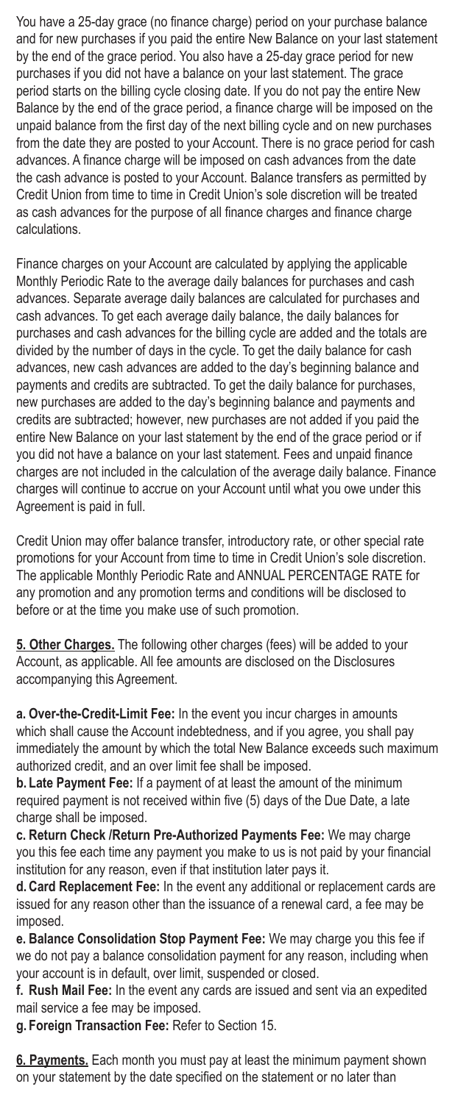You have a 25-day grace (no finance charge) period on your purchase balance and for new purchases if you paid the entire New Balance on your last statement by the end of the grace period. You also have a 25-day grace period for new purchases if you did not have a balance on your last statement. The grace period starts on the billing cycle closing date. If you do not pay the entire New Balance by the end of the grace period, a finance charge will be imposed on the unpaid balance from the first day of the next billing cycle and on new purchases from the date they are posted to your Account. There is no grace period for cash advances. A finance charge will be imposed on cash advances from the date the cash advance is posted to your Account. Balance transfers as permitted by Credit Union from time to time in Credit Union's sole discretion will be treated as cash advances for the purpose of all finance charges and finance charge calculations.

Finance charges on your Account are calculated by applying the applicable Monthly Periodic Rate to the average daily balances for purchases and cash advances. Separate average daily balances are calculated for purchases and cash advances. To get each average daily balance, the daily balances for purchases and cash advances for the billing cycle are added and the totals are divided by the number of days in the cycle. To get the daily balance for cash advances, new cash advances are added to the day's beginning balance and payments and credits are subtracted. To get the daily balance for purchases, new purchases are added to the day's beginning balance and payments and credits are subtracted; however, new purchases are not added if you paid the entire New Balance on your last statement by the end of the grace period or if you did not have a balance on your last statement. Fees and unpaid finance charges are not included in the calculation of the average daily balance. Finance charges will continue to accrue on your Account until what you owe under this Agreement is paid in full.

Credit Union may offer balance transfer, introductory rate, or other special rate promotions for your Account from time to time in Credit Union's sole discretion. The applicable Monthly Periodic Rate and ANNUAL PERCENTAGE RATE for any promotion and any promotion terms and conditions will be disclosed to before or at the time you make use of such promotion.

**5. Other Charges.** The following other charges (fees) will be added to your Account, as applicable. All fee amounts are disclosed on the Disclosures accompanying this Agreement.

**a. Over-the-Credit-Limit Fee:** In the event you incur charges in amounts which shall cause the Account indebtedness, and if you agree, you shall pay immediately the amount by which the total New Balance exceeds such maximum authorized credit, and an over limit fee shall be imposed.

**b. Late Payment Fee:** If a payment of at least the amount of the minimum required payment is not received within five (5) days of the Due Date, a late charge shall be imposed.

**c. Return Check /Return Pre-Authorized Payments Fee:** We may charge you this fee each time any payment you make to us is not paid by your financial institution for any reason, even if that institution later pays it.

**d.Card Replacement Fee:** In the event any additional or replacement cards are issued for any reason other than the issuance of a renewal card, a fee may be imposed.

**e. Balance Consolidation Stop Payment Fee:** We may charge you this fee if we do not pay a balance consolidation payment for any reason, including when your account is in default, over limit, suspended or closed.

**f. Rush Mail Fee:** In the event any cards are issued and sent via an expedited mail service a fee may be imposed.

**g. Foreign Transaction Fee:** Refer to Section 15.

**6. Payments.** Each month you must pay at least the minimum payment shown on your statement by the date specified on the statement or no later than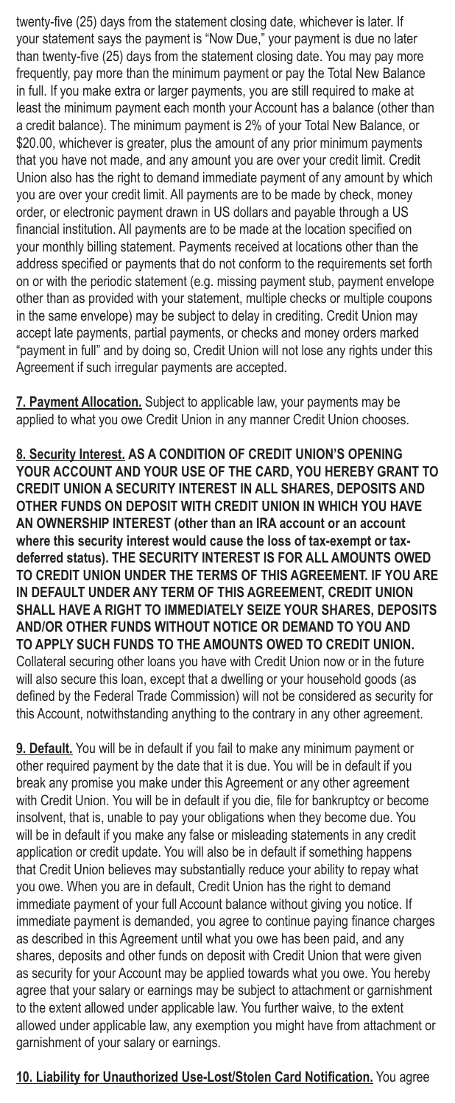twenty-five (25) days from the statement closing date, whichever is later. If your statement says the payment is "Now Due," your payment is due no later than twenty-five (25) days from the statement closing date. You may pay more frequently, pay more than the minimum payment or pay the Total New Balance in full. If you make extra or larger payments, you are still required to make at least the minimum payment each month your Account has a balance (other than a credit balance). The minimum payment is 2% of your Total New Balance, or \$20.00, whichever is greater, plus the amount of any prior minimum payments that you have not made, and any amount you are over your credit limit. Credit Union also has the right to demand immediate payment of any amount by which you are over your credit limit. All payments are to be made by check, money order, or electronic payment drawn in US dollars and payable through a US financial institution. All payments are to be made at the location specified on your monthly billing statement. Payments received at locations other than the address specified or payments that do not conform to the requirements set forth on or with the periodic statement (e.g. missing payment stub, payment envelope other than as provided with your statement, multiple checks or multiple coupons in the same envelope) may be subject to delay in crediting. Credit Union may accept late payments, partial payments, or checks and money orders marked "payment in full" and by doing so, Credit Union will not lose any rights under this Agreement if such irregular payments are accepted.

**7. Payment Allocation.** Subject to applicable law, your payments may be applied to what you owe Credit Union in any manner Credit Union chooses.

**8. Security Interest. AS A CONDITION OF CREDIT UNION'S OPENING YOUR ACCOUNT AND YOUR USE OF THE CARD, YOU HEREBY GRANT TO CREDIT UNION A SECURITY INTEREST IN ALL SHARES, DEPOSITS AND OTHER FUNDS ON DEPOSIT WITH CREDIT UNION IN WHICH YOU HAVE AN OWNERSHIP INTEREST (other than an IRA account or an account where this security interest would cause the loss of tax-exempt or taxdeferred status). THE SECURITY INTEREST IS FOR ALL AMOUNTS OWED TO CREDIT UNION UNDER THE TERMS OF THIS AGREEMENT. IF YOU ARE IN DEFAULT UNDER ANY TERM OF THIS AGREEMENT, CREDIT UNION SHALL HAVE A RIGHT TO IMMEDIATELY SEIZE YOUR SHARES, DEPOSITS AND/OR OTHER FUNDS WITHOUT NOTICE OR DEMAND TO YOU AND TO APPLY SUCH FUNDS TO THE AMOUNTS OWED TO CREDIT UNION.** Collateral securing other loans you have with Credit Union now or in the future will also secure this loan, except that a dwelling or your household goods (as defined by the Federal Trade Commission) will not be considered as security for this Account, notwithstanding anything to the contrary in any other agreement.

**9. Default.** You will be in default if you fail to make any minimum payment or other required payment by the date that it is due. You will be in default if you break any promise you make under this Agreement or any other agreement with Credit Union. You will be in default if you die, file for bankruptcy or become insolvent, that is, unable to pay your obligations when they become due. You will be in default if you make any false or misleading statements in any credit application or credit update. You will also be in default if something happens that Credit Union believes may substantially reduce your ability to repay what you owe. When you are in default, Credit Union has the right to demand immediate payment of your full Account balance without giving you notice. If immediate payment is demanded, you agree to continue paying finance charges as described in this Agreement until what you owe has been paid, and any shares, deposits and other funds on deposit with Credit Union that were given as security for your Account may be applied towards what you owe. You hereby agree that your salary or earnings may be subject to attachment or garnishment to the extent allowed under applicable law. You further waive, to the extent allowed under applicable law, any exemption you might have from attachment or garnishment of your salary or earnings.

**10. Liability for Unauthorized Use-Lost/Stolen Card Notification.** You agree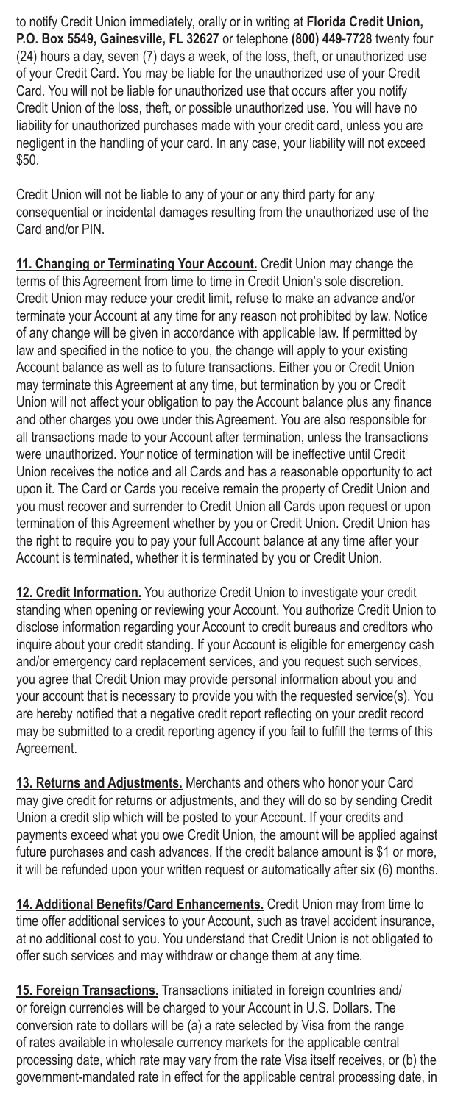to notify Credit Union immediately, orally or in writing at **Florida Credit Union, P.O. Box 5549, Gainesville, FL 32627** or telephone **(800) 449-7728** twenty four (24) hours a day, seven (7) days a week, of the loss, theft, or unauthorized use of your Credit Card. You may be liable for the unauthorized use of your Credit Card. You will not be liable for unauthorized use that occurs after you notify Credit Union of the loss, theft, or possible unauthorized use. You will have no liability for unauthorized purchases made with your credit card, unless you are negligent in the handling of your card. In any case, your liability will not exceed \$50.

Credit Union will not be liable to any of your or any third party for any consequential or incidental damages resulting from the unauthorized use of the Card and/or PIN.

**11. Changing or Terminating Your Account.** Credit Union may change the terms of this Agreement from time to time in Credit Union's sole discretion. Credit Union may reduce your credit limit, refuse to make an advance and/or terminate your Account at any time for any reason not prohibited by law. Notice of any change will be given in accordance with applicable law. If permitted by law and specified in the notice to you, the change will apply to your existing Account balance as well as to future transactions. Either you or Credit Union may terminate this Agreement at any time, but termination by you or Credit Union will not affect your obligation to pay the Account balance plus any finance and other charges you owe under this Agreement. You are also responsible for all transactions made to your Account after termination, unless the transactions were unauthorized. Your notice of termination will be ineffective until Credit Union receives the notice and all Cards and has a reasonable opportunity to act upon it. The Card or Cards you receive remain the property of Credit Union and you must recover and surrender to Credit Union all Cards upon request or upon termination of this Agreement whether by you or Credit Union. Credit Union has the right to require you to pay your full Account balance at any time after your Account is terminated, whether it is terminated by you or Credit Union.

**12. Credit Information.** You authorize Credit Union to investigate your credit standing when opening or reviewing your Account. You authorize Credit Union to disclose information regarding your Account to credit bureaus and creditors who inquire about your credit standing. If your Account is eligible for emergency cash and/or emergency card replacement services, and you request such services, you agree that Credit Union may provide personal information about you and your account that is necessary to provide you with the requested service(s). You are hereby notified that a negative credit report reflecting on your credit record may be submitted to a credit reporting agency if you fail to fulfill the terms of this Agreement.

**13. Returns and Adjustments.** Merchants and others who honor your Card may give credit for returns or adjustments, and they will do so by sending Credit Union a credit slip which will be posted to your Account. If your credits and payments exceed what you owe Credit Union, the amount will be applied against future purchases and cash advances. If the credit balance amount is \$1 or more, it will be refunded upon your written request or automatically after six (6) months.

**14. Additional Benefits/Card Enhancements.** Credit Union may from time to time offer additional services to your Account, such as travel accident insurance, at no additional cost to you. You understand that Credit Union is not obligated to offer such services and may withdraw or change them at any time.

**15. Foreign Transactions.** Transactions initiated in foreign countries and/ or foreign currencies will be charged to your Account in U.S. Dollars. The conversion rate to dollars will be (a) a rate selected by Visa from the range of rates available in wholesale currency markets for the applicable central processing date, which rate may vary from the rate Visa itself receives, or (b) the government-mandated rate in effect for the applicable central processing date, in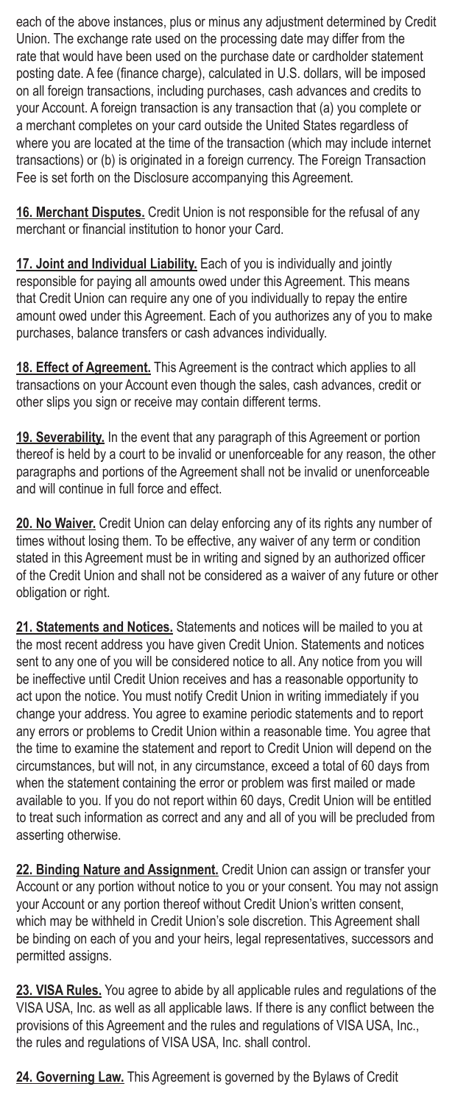each of the above instances, plus or minus any adjustment determined by Credit Union. The exchange rate used on the processing date may differ from the rate that would have been used on the purchase date or cardholder statement posting date. A fee (finance charge), calculated in U.S. dollars, will be imposed on all foreign transactions, including purchases, cash advances and credits to your Account. A foreign transaction is any transaction that (a) you complete or a merchant completes on your card outside the United States regardless of where you are located at the time of the transaction (which may include internet transactions) or (b) is originated in a foreign currency. The Foreign Transaction Fee is set forth on the Disclosure accompanying this Agreement.

**16. Merchant Disputes.** Credit Union is not responsible for the refusal of any merchant or financial institution to honor your Card.

**17. Joint and Individual Liability.** Each of you is individually and jointly responsible for paying all amounts owed under this Agreement. This means that Credit Union can require any one of you individually to repay the entire amount owed under this Agreement. Each of you authorizes any of you to make purchases, balance transfers or cash advances individually.

**18. Effect of Agreement.** This Agreement is the contract which applies to all transactions on your Account even though the sales, cash advances, credit or other slips you sign or receive may contain different terms.

**19. Severability.** In the event that any paragraph of this Agreement or portion thereof is held by a court to be invalid or unenforceable for any reason, the other paragraphs and portions of the Agreement shall not be invalid or unenforceable and will continue in full force and effect.

**20. No Waiver.** Credit Union can delay enforcing any of its rights any number of times without losing them. To be effective, any waiver of any term or condition stated in this Agreement must be in writing and signed by an authorized officer of the Credit Union and shall not be considered as a waiver of any future or other obligation or right.

**21. Statements and Notices.** Statements and notices will be mailed to you at the most recent address you have given Credit Union. Statements and notices sent to any one of you will be considered notice to all. Any notice from you will be ineffective until Credit Union receives and has a reasonable opportunity to act upon the notice. You must notify Credit Union in writing immediately if you change your address. You agree to examine periodic statements and to report any errors or problems to Credit Union within a reasonable time. You agree that the time to examine the statement and report to Credit Union will depend on the circumstances, but will not, in any circumstance, exceed a total of 60 days from when the statement containing the error or problem was first mailed or made available to you. If you do not report within 60 days, Credit Union will be entitled to treat such information as correct and any and all of you will be precluded from asserting otherwise.

**22. Binding Nature and Assignment.** Credit Union can assign or transfer your Account or any portion without notice to you or your consent. You may not assign your Account or any portion thereof without Credit Union's written consent, which may be withheld in Credit Union's sole discretion. This Agreement shall be binding on each of you and your heirs, legal representatives, successors and permitted assigns.

**23. VISA Rules.** You agree to abide by all applicable rules and regulations of the VISA USA, Inc. as well as all applicable laws. If there is any conflict between the provisions of this Agreement and the rules and regulations of VISA USA, Inc., the rules and regulations of VISA USA, Inc. shall control.

**24. Governing Law.** This Agreement is governed by the Bylaws of Credit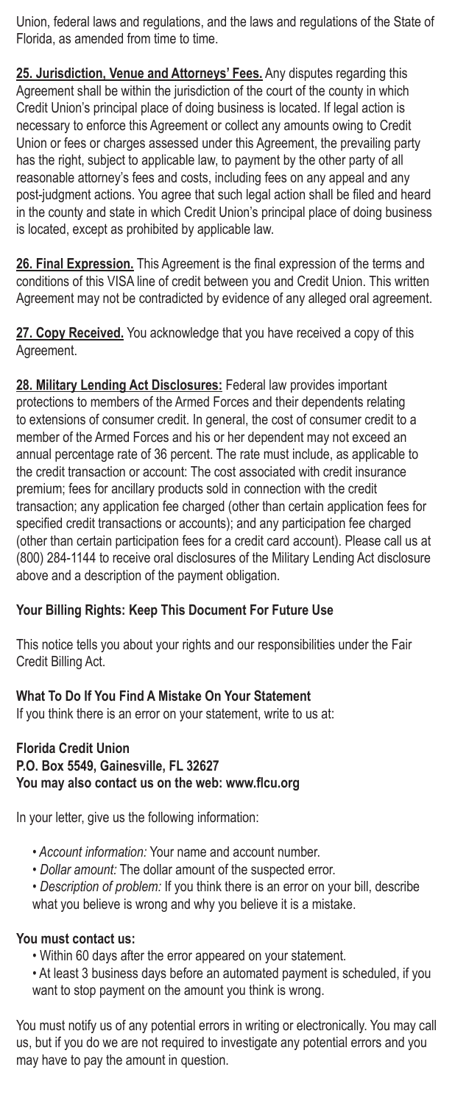Union, federal laws and regulations, and the laws and regulations of the State of Florida, as amended from time to time.

**25. Jurisdiction, Venue and Attorneys' Fees.** Any disputes regarding this Agreement shall be within the jurisdiction of the court of the county in which Credit Union's principal place of doing business is located. If legal action is necessary to enforce this Agreement or collect any amounts owing to Credit Union or fees or charges assessed under this Agreement, the prevailing party has the right, subject to applicable law, to payment by the other party of all reasonable attorney's fees and costs, including fees on any appeal and any post-judgment actions. You agree that such legal action shall be filed and heard in the county and state in which Credit Union's principal place of doing business is located, except as prohibited by applicable law.

**26. Final Expression.** This Agreement is the final expression of the terms and conditions of this VISA line of credit between you and Credit Union. This written Agreement may not be contradicted by evidence of any alleged oral agreement.

**27. Copy Received.** You acknowledge that you have received a copy of this Agreement.

**28. Military Lending Act Disclosures:** Federal law provides important protections to members of the Armed Forces and their dependents relating to extensions of consumer credit. In general, the cost of consumer credit to a member of the Armed Forces and his or her dependent may not exceed an annual percentage rate of 36 percent. The rate must include, as applicable to the credit transaction or account: The cost associated with credit insurance premium; fees for ancillary products sold in connection with the credit transaction; any application fee charged (other than certain application fees for specified credit transactions or accounts); and any participation fee charged (other than certain participation fees for a credit card account). Please call us at (800) 284-1144 to receive oral disclosures of the Military Lending Act disclosure above and a description of the payment obligation.

## **Your Billing Rights: Keep This Document For Future Use**

This notice tells you about your rights and our responsibilities under the Fair Credit Billing Act.

### **What To Do If You Find A Mistake On Your Statement**

If you think there is an error on your statement, write to us at:

#### **Florida Credit Union P.O. Box 5549, Gainesville, FL 32627 You may also contact us on the web: www.flcu.org**

In your letter, give us the following information:

- • *Account information:* Your name and account number.
- *Dollar amount:* The dollar amount of the suspected error.
- *Description of problem:* If you think there is an error on your bill, describe what you believe is wrong and why you believe it is a mistake.

#### **You must contact us:**

- Within 60 days after the error appeared on your statement.
- At least 3 business days before an automated payment is scheduled, if you want to stop payment on the amount you think is wrong.

You must notify us of any potential errors in writing or electronically. You may call us, but if you do we are not required to investigate any potential errors and you may have to pay the amount in question.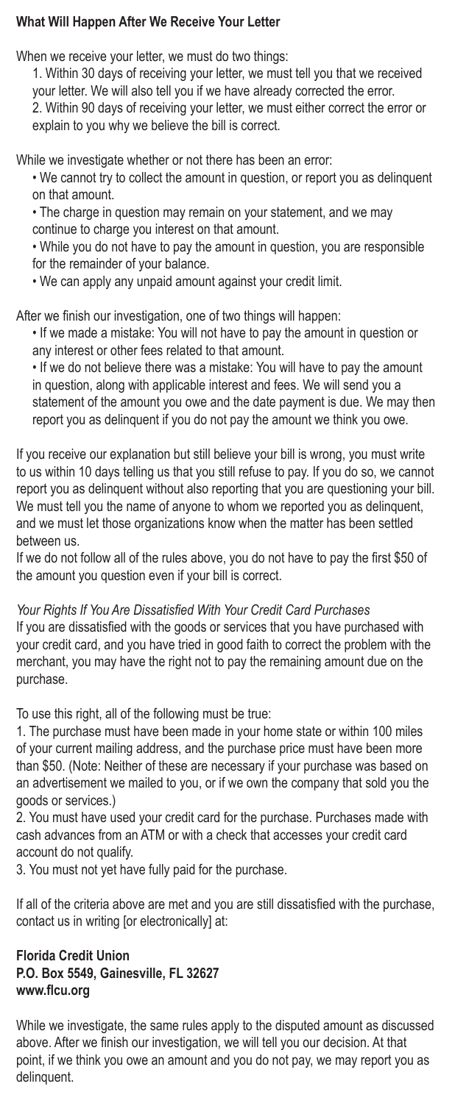## **What Will Happen After We Receive Your Letter**

When we receive your letter, we must do two things:

1. Within 30 days of receiving your letter, we must tell you that we received your letter. We will also tell you if we have already corrected the error. 2. Within 90 days of receiving your letter, we must either correct the error or explain to you why we believe the bill is correct.

While we investigate whether or not there has been an error:

• We cannot try to collect the amount in question, or report you as delinquent on that amount.

• The charge in question may remain on your statement, and we may continue to charge you interest on that amount.

• While you do not have to pay the amount in question, you are responsible for the remainder of your balance.

• We can apply any unpaid amount against your credit limit.

After we finish our investigation, one of two things will happen:

• If we made a mistake: You will not have to pay the amount in question or any interest or other fees related to that amount.

• If we do not believe there was a mistake: You will have to pay the amount in question, along with applicable interest and fees. We will send you a statement of the amount you owe and the date payment is due. We may then report you as delinquent if you do not pay the amount we think you owe.

If you receive our explanation but still believe your bill is wrong, you must write to us within 10 days telling us that you still refuse to pay. If you do so, we cannot report you as delinquent without also reporting that you are questioning your bill. We must tell you the name of anyone to whom we reported you as delinquent, and we must let those organizations know when the matter has been settled between us.

If we do not follow all of the rules above, you do not have to pay the first \$50 of the amount you question even if your bill is correct.

*Your Rights If You Are Dissatisfied With Your Credit Card Purchases*

If you are dissatisfied with the goods or services that you have purchased with your credit card, and you have tried in good faith to correct the problem with the merchant, you may have the right not to pay the remaining amount due on the purchase.

To use this right, all of the following must be true:

1. The purchase must have been made in your home state or within 100 miles of your current mailing address, and the purchase price must have been more than \$50. (Note: Neither of these are necessary if your purchase was based on an advertisement we mailed to you, or if we own the company that sold you the goods or services.)

2. You must have used your credit card for the purchase. Purchases made with cash advances from an ATM or with a check that accesses your credit card account do not qualify.

3. You must not yet have fully paid for the purchase.

If all of the criteria above are met and you are still dissatisfied with the purchase, contact us in writing [or electronically] at:

## **Florida Credit Union P.O. Box 5549, Gainesville, FL 32627 www.flcu.org**

While we investigate, the same rules apply to the disputed amount as discussed above. After we finish our investigation, we will tell you our decision. At that point, if we think you owe an amount and you do not pay, we may report you as delinquent.